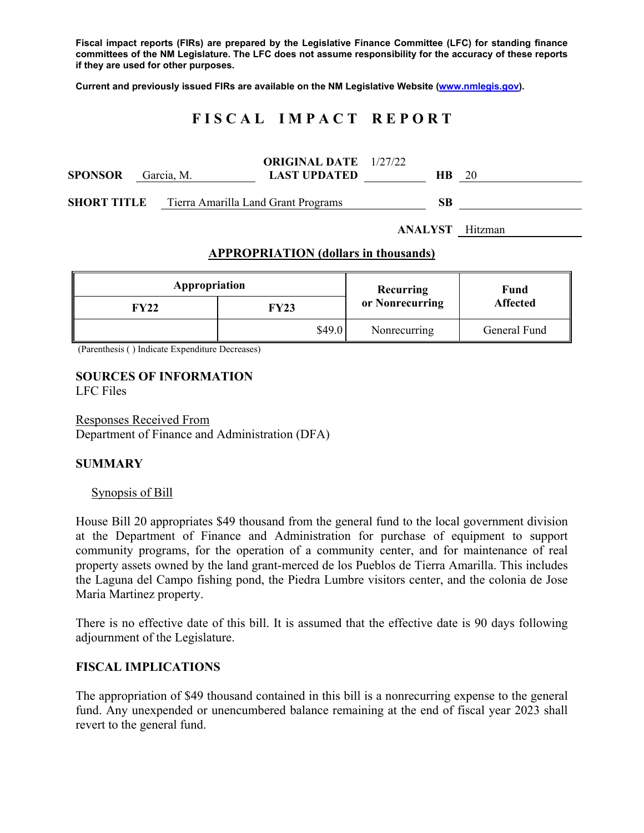**Fiscal impact reports (FIRs) are prepared by the Legislative Finance Committee (LFC) for standing finance committees of the NM Legislature. The LFC does not assume responsibility for the accuracy of these reports if they are used for other purposes.** 

**Current and previously issued FIRs are available on the NM Legislative Website (www.nmlegis.gov).** 

# **F I S C A L I M P A C T R E P O R T**

| <b>SPONSOR</b> | Garcia, M. | <b>ORIGINAL DATE</b> 1/27/22<br><b>LAST UPDATED</b> | HB. | 20 |
|----------------|------------|-----------------------------------------------------|-----|----|
| SHORT TITLE    |            | Tierra Amarilla Land Grant Programs                 | SВ  |    |

**ANALYST** Hitzman

#### **APPROPRIATION (dollars in thousands)**

| Appropriation |        | Recurring       | Fund<br><b>Affected</b> |  |
|---------------|--------|-----------------|-------------------------|--|
| FY22          | FY23   | or Nonrecurring |                         |  |
|               | \$49.0 | Nonrecurring    | General Fund            |  |

(Parenthesis ( ) Indicate Expenditure Decreases)

#### **SOURCES OF INFORMATION**  LFC Files

Responses Received From Department of Finance and Administration (DFA)

## **SUMMARY**

## Synopsis of Bill

House Bill 20 appropriates \$49 thousand from the general fund to the local government division at the Department of Finance and Administration for purchase of equipment to support community programs, for the operation of a community center, and for maintenance of real property assets owned by the land grant-merced de los Pueblos de Tierra Amarilla. This includes the Laguna del Campo fishing pond, the Piedra Lumbre visitors center, and the colonia de Jose Maria Martinez property.

There is no effective date of this bill. It is assumed that the effective date is 90 days following adjournment of the Legislature.

## **FISCAL IMPLICATIONS**

The appropriation of \$49 thousand contained in this bill is a nonrecurring expense to the general fund. Any unexpended or unencumbered balance remaining at the end of fiscal year 2023 shall revert to the general fund.